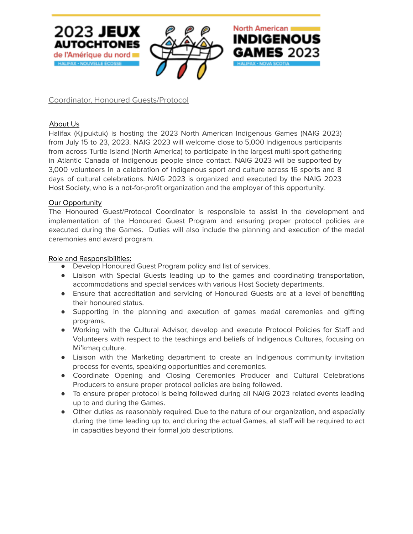

Coordinator, Honoured Guests/Protocol

## About Us

Halifax (Kjipuktuk) is hosting the 2023 North American Indigenous Games (NAIG 2023) from July 15 to 23, 2023. NAIG 2023 will welcome close to 5,000 Indigenous participants from across Turtle Island (North America) to participate in the largest multi-sport gathering in Atlantic Canada of Indigenous people since contact. NAIG 2023 will be supported by 3,000 volunteers in a celebration of Indigenous sport and culture across 16 sports and 8 days of cultural celebrations. NAIG 2023 is organized and executed by the NAIG 2023 Host Society, who is a not-for-profit organization and the employer of this opportunity.

#### Our Opportunity

The Honoured Guest/Protocol Coordinator is responsible to assist in the development and implementation of the Honoured Guest Program and ensuring proper protocol policies are executed during the Games. Duties will also include the planning and execution of the medal ceremonies and award program.

#### Role and Responsibilities:

- Develop Honoured Guest Program policy and list of services.
- Liaison with Special Guests leading up to the games and coordinating transportation, accommodations and special services with various Host Society departments.
- Ensure that accreditation and servicing of Honoured Guests are at a level of benefiting their honoured status.
- Supporting in the planning and execution of games medal ceremonies and gifting programs.
- Working with the Cultural Advisor, develop and execute Protocol Policies for Staff and Volunteers with respect to the teachings and beliefs of Indigenous Cultures, focusing on Mi'kmaq culture.
- Liaison with the Marketing department to create an Indigenous community invitation process for events, speaking opportunities and ceremonies.
- Coordinate Opening and Closing Ceremonies Producer and Cultural Celebrations Producers to ensure proper protocol policies are being followed.
- To ensure proper protocol is being followed during all NAIG 2023 related events leading up to and during the Games.
- Other duties as reasonably required. Due to the nature of our organization, and especially during the time leading up to, and during the actual Games, all staff will be required to act in capacities beyond their formal job descriptions.